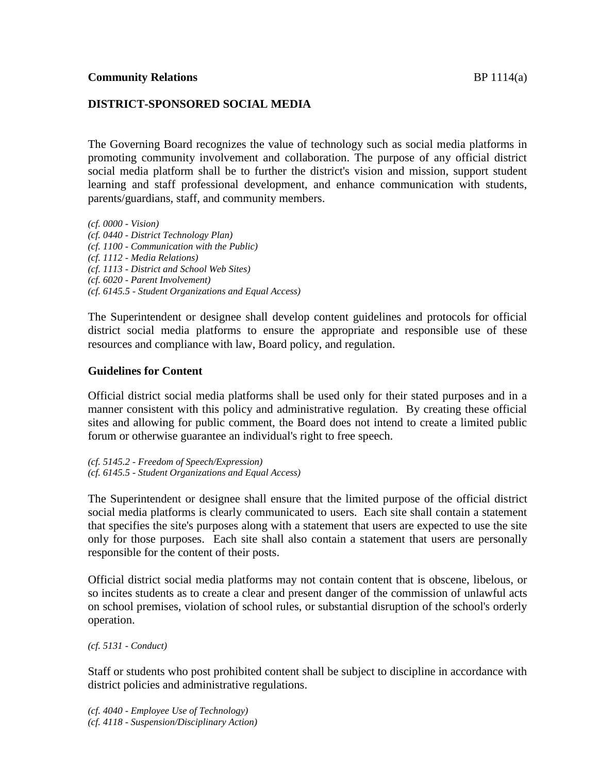# **DISTRICT-SPONSORED SOCIAL MEDIA**

The Governing Board recognizes the value of technology such as social media platforms in promoting community involvement and collaboration. The purpose of any official district social media platform shall be to further the district's vision and mission, support student learning and staff professional development, and enhance communication with students, parents/guardians, staff, and community members.

*(cf. 0000 - Vision) (cf. 0440 - District Technology Plan) (cf. 1100 - Communication with the Public) (cf. 1112 - Media Relations) (cf. 1113 - District and School Web Sites) (cf. 6020 - Parent Involvement) (cf. 6145.5 - Student Organizations and Equal Access)*

The Superintendent or designee shall develop content guidelines and protocols for official district social media platforms to ensure the appropriate and responsible use of these resources and compliance with law, Board policy, and regulation.

## **Guidelines for Content**

Official district social media platforms shall be used only for their stated purposes and in a manner consistent with this policy and administrative regulation. By creating these official sites and allowing for public comment, the Board does not intend to create a limited public forum or otherwise guarantee an individual's right to free speech.

*(cf. 5145.2 - Freedom of Speech/Expression) (cf. 6145.5 - Student Organizations and Equal Access)*

The Superintendent or designee shall ensure that the limited purpose of the official district social media platforms is clearly communicated to users. Each site shall contain a statement that specifies the site's purposes along with a statement that users are expected to use the site only for those purposes. Each site shall also contain a statement that users are personally responsible for the content of their posts.

Official district social media platforms may not contain content that is obscene, libelous, or so incites students as to create a clear and present danger of the commission of unlawful acts on school premises, violation of school rules, or substantial disruption of the school's orderly operation.

*(cf. 5131 - Conduct)*

Staff or students who post prohibited content shall be subject to discipline in accordance with district policies and administrative regulations.

*(cf. 4040 - Employee Use of Technology) (cf. 4118 - Suspension/Disciplinary Action)*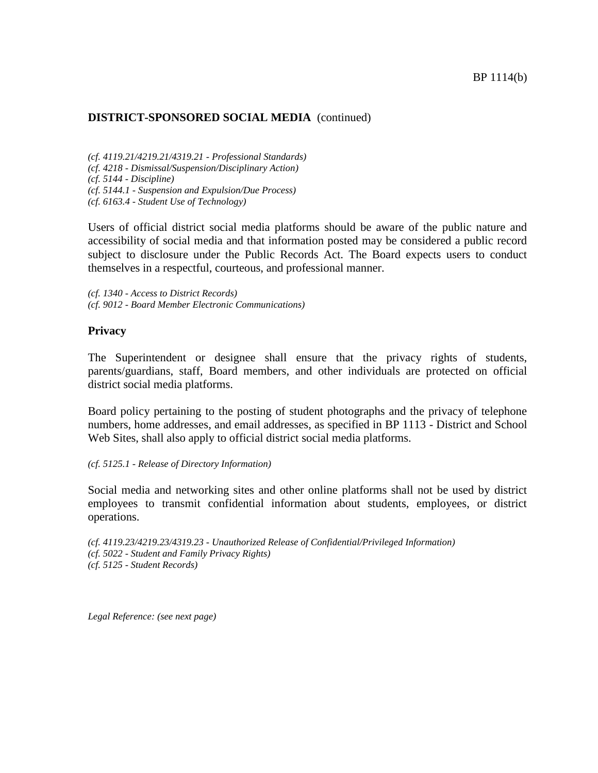*(cf. 4119.21/4219.21/4319.21 - Professional Standards) (cf. 4218 - Dismissal/Suspension/Disciplinary Action) (cf. 5144 - Discipline) (cf. 5144.1 - Suspension and Expulsion/Due Process) (cf. 6163.4 - Student Use of Technology)*

Users of official district social media platforms should be aware of the public nature and accessibility of social media and that information posted may be considered a public record subject to disclosure under the Public Records Act. The Board expects users to conduct themselves in a respectful, courteous, and professional manner.

*(cf. 1340 - Access to District Records) (cf. 9012 - Board Member Electronic Communications)*

#### **Privacy**

The Superintendent or designee shall ensure that the privacy rights of students, parents/guardians, staff, Board members, and other individuals are protected on official district social media platforms.

Board policy pertaining to the posting of student photographs and the privacy of telephone numbers, home addresses, and email addresses, as specified in BP 1113 - District and School Web Sites, shall also apply to official district social media platforms.

#### *(cf. 5125.1 - Release of Directory Information)*

Social media and networking sites and other online platforms shall not be used by district employees to transmit confidential information about students, employees, or district operations.

*(cf. 4119.23/4219.23/4319.23 - Unauthorized Release of Confidential/Privileged Information) (cf. 5022 - Student and Family Privacy Rights) (cf. 5125 - Student Records)*

*Legal Reference: (see next page)*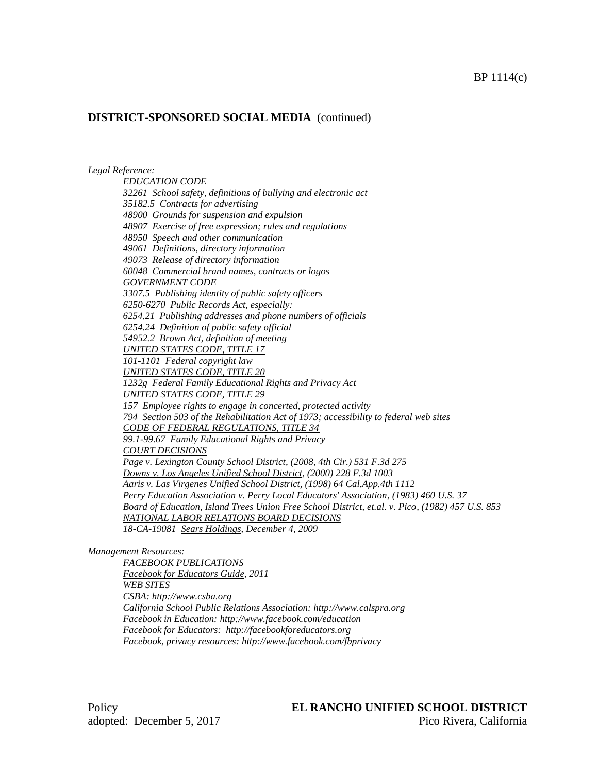#### *Legal Reference:*

*EDUCATION CODE 32261 School safety, definitions of bullying and electronic act 35182.5 Contracts for advertising 48900 Grounds for suspension and expulsion 48907 Exercise of free expression; rules and regulations 48950 Speech and other communication 49061 Definitions, directory information 49073 Release of directory information 60048 Commercial brand names, contracts or logos GOVERNMENT CODE 3307.5 Publishing identity of public safety officers 6250-6270 Public Records Act, especially: 6254.21 Publishing addresses and phone numbers of officials 6254.24 Definition of public safety official 54952.2 Brown Act, definition of meeting UNITED STATES CODE, TITLE 17 101-1101 Federal copyright law UNITED STATES CODE, TITLE 20 1232g Federal Family Educational Rights and Privacy Act UNITED STATES CODE, TITLE 29 157 Employee rights to engage in concerted, protected activity 794 Section 503 of the Rehabilitation Act of 1973; accessibility to federal web sites CODE OF FEDERAL REGULATIONS, TITLE 34 99.1-99.67 Family Educational Rights and Privacy COURT DECISIONS Page v. Lexington County School District, (2008, 4th Cir.) 531 F.3d 275 Downs v. Los Angeles Unified School District, (2000) 228 F.3d 1003 Aaris v. Las Virgenes Unified School District, (1998) 64 Cal.App.4th 1112 Perry Education Association v. Perry Local Educators' Association, (1983) 460 U.S. 37 Board of Education, Island Trees Union Free School District, et.al. v. Pico, (1982) 457 U.S. 853 NATIONAL LABOR RELATIONS BOARD DECISIONS 18-CA-19081 Sears Holdings, December 4, 2009*

#### *Management Resources:*

*FACEBOOK PUBLICATIONS Facebook for Educators Guide, 2011 WEB SITES CSBA: http://www.csba.org California School Public Relations Association: http://www.calspra.org Facebook in Education: http://www.facebook.com/education Facebook for Educators: http://facebookforeducators.org Facebook, privacy resources: http://www.facebook.com/fbprivacy*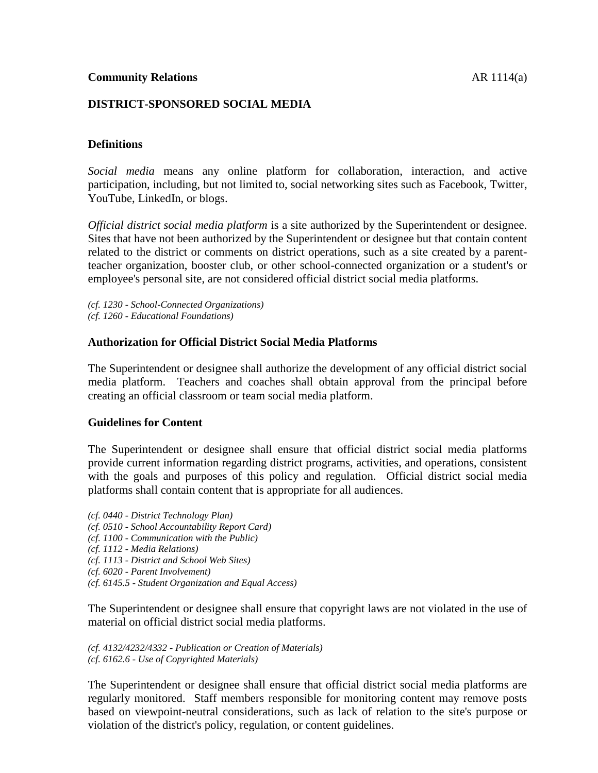## **DISTRICT-SPONSORED SOCIAL MEDIA**

### **Definitions**

*Social media* means any online platform for collaboration, interaction, and active participation, including, but not limited to, social networking sites such as Facebook, Twitter, YouTube, LinkedIn, or blogs.

*Official district social media platform* is a site authorized by the Superintendent or designee. Sites that have not been authorized by the Superintendent or designee but that contain content related to the district or comments on district operations, such as a site created by a parentteacher organization, booster club, or other school-connected organization or a student's or employee's personal site, are not considered official district social media platforms.

- *(cf. 1230 - School-Connected Organizations)*
- *(cf. 1260 - Educational Foundations)*

#### **Authorization for Official District Social Media Platforms**

The Superintendent or designee shall authorize the development of any official district social media platform. Teachers and coaches shall obtain approval from the principal before creating an official classroom or team social media platform.

#### **Guidelines for Content**

The Superintendent or designee shall ensure that official district social media platforms provide current information regarding district programs, activities, and operations, consistent with the goals and purposes of this policy and regulation. Official district social media platforms shall contain content that is appropriate for all audiences.

- *(cf. 0440 - District Technology Plan)*
- *(cf. 0510 - School Accountability Report Card)*
- *(cf. 1100 - Communication with the Public)*
- *(cf. 1112 - Media Relations)*
- *(cf. 1113 - District and School Web Sites)*
- *(cf. 6020 - Parent Involvement)*
- *(cf. 6145.5 - Student Organization and Equal Access)*

The Superintendent or designee shall ensure that copyright laws are not violated in the use of material on official district social media platforms.

*(cf. 4132/4232/4332 - Publication or Creation of Materials) (cf. 6162.6 - Use of Copyrighted Materials)*

The Superintendent or designee shall ensure that official district social media platforms are regularly monitored. Staff members responsible for monitoring content may remove posts based on viewpoint-neutral considerations, such as lack of relation to the site's purpose or violation of the district's policy, regulation, or content guidelines.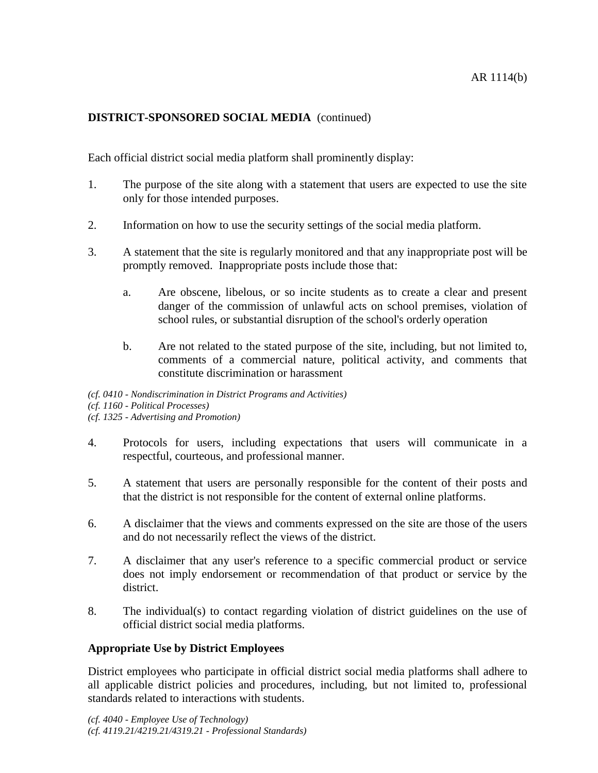Each official district social media platform shall prominently display:

- 1. The purpose of the site along with a statement that users are expected to use the site only for those intended purposes.
- 2. Information on how to use the security settings of the social media platform.
- 3. A statement that the site is regularly monitored and that any inappropriate post will be promptly removed. Inappropriate posts include those that:
	- a. Are obscene, libelous, or so incite students as to create a clear and present danger of the commission of unlawful acts on school premises, violation of school rules, or substantial disruption of the school's orderly operation
	- b. Are not related to the stated purpose of the site, including, but not limited to, comments of a commercial nature, political activity, and comments that constitute discrimination or harassment

*(cf. 0410 - Nondiscrimination in District Programs and Activities) (cf. 1160 - Political Processes) (cf. 1325 - Advertising and Promotion)*

- 4. Protocols for users, including expectations that users will communicate in a respectful, courteous, and professional manner.
- 5. A statement that users are personally responsible for the content of their posts and that the district is not responsible for the content of external online platforms.
- 6. A disclaimer that the views and comments expressed on the site are those of the users and do not necessarily reflect the views of the district.
- 7. A disclaimer that any user's reference to a specific commercial product or service does not imply endorsement or recommendation of that product or service by the district.
- 8. The individual(s) to contact regarding violation of district guidelines on the use of official district social media platforms.

# **Appropriate Use by District Employees**

District employees who participate in official district social media platforms shall adhere to all applicable district policies and procedures, including, but not limited to, professional standards related to interactions with students.